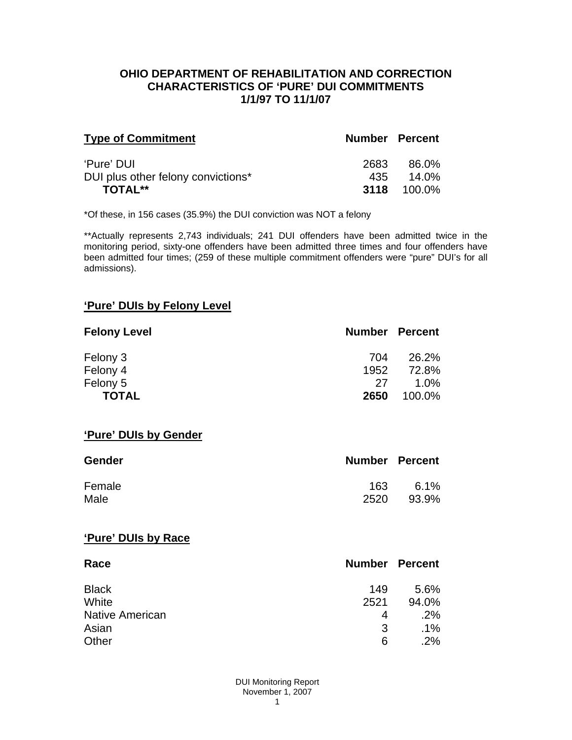#### **OHIO DEPARTMENT OF REHABILITATION AND CORRECTION CHARACTERISTICS OF 'PURE' DUI COMMITMENTS 1/1/97 TO 11/1/07**

| <b>Type of Commitment</b>          | <b>Number Percent</b> |                    |
|------------------------------------|-----------------------|--------------------|
| 'Pure' DUI                         | 2683                  | 86.0%              |
| DUI plus other felony convictions* | 435                   | $14.0\%$           |
| <b>TOTAL**</b>                     |                       | <b>3118</b> 100.0% |

\*Of these, in 156 cases (35.9%) the DUI conviction was NOT a felony

\*\*Actually represents 2,743 individuals; 241 DUI offenders have been admitted twice in the monitoring period, sixty-one offenders have been admitted three times and four offenders have been admitted four times; (259 of these multiple commitment offenders were "pure" DUI's for all admissions).

# **'Pure' DUIs by Felony Level**

| <b>Felony Level</b> | <b>Number Percent</b> |         |
|---------------------|-----------------------|---------|
| Felony 3            | 704                   | 26.2%   |
| Felony 4            | 1952                  | 72.8%   |
| Felony 5            | 27                    | $1.0\%$ |
| <b>TOTAL</b>        | 2650                  | 100.0%  |

#### **'Pure' DUIs by Gender**

| <b>Gender</b> | <b>Number Percent</b> |         |
|---------------|-----------------------|---------|
| Female        | 163                   | $6.1\%$ |
| Male          | 2520                  | 93.9%   |

#### **'Pure' DUIs by Race**

| Race                   | <b>Number Percent</b> |        |
|------------------------|-----------------------|--------|
| <b>Black</b>           | 149                   | 5.6%   |
| White                  | 2521                  | 94.0%  |
| <b>Native American</b> | 4                     | .2%    |
| Asian                  | 3                     | $.1\%$ |
| Other                  | 6                     | .2%    |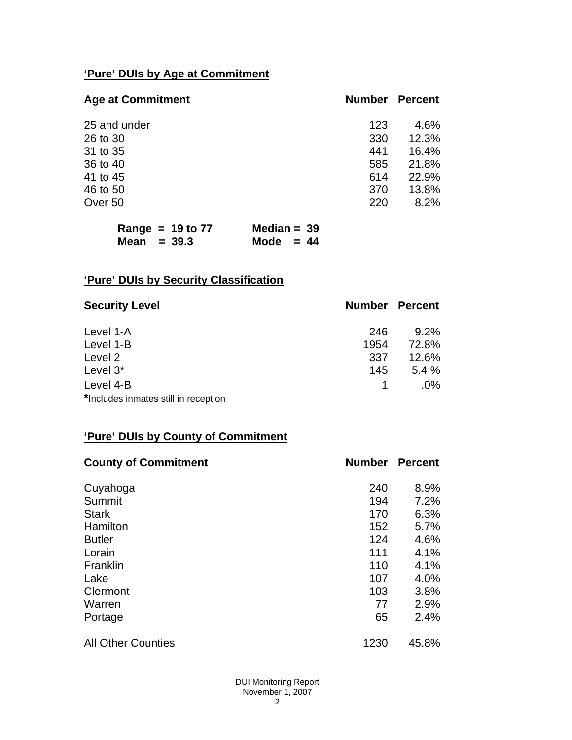# **'Pure' DUIs by Age at Commitment**

| <b>Age at Commitment</b> | <b>Number</b> | <b>Percent</b> |
|--------------------------|---------------|----------------|
| 25 and under             | 123           | 4.6%           |
| 26 to 30                 | 330           | 12.3%          |
| 31 to 35                 | 441           | 16.4%          |
| 36 to 40                 | 585           | 21.8%          |
| 41 to 45                 | 614           | 22.9%          |
| 46 to 50                 | 370           | 13.8%          |
| Over 50                  | 220           | 8.2%           |

| Range = $19$ to $77$ | Median = $39$ |
|----------------------|---------------|
| Mean $=$ 39.3        | Mode $= 44$   |

# **'Pure' DUIs by Security Classification**

| <b>Security Level</b>                | <b>Number Percent</b> |         |
|--------------------------------------|-----------------------|---------|
| Level 1-A                            | 246                   | $9.2\%$ |
| Level 1-B                            | 1954                  | 72.8%   |
| Level 2                              | 337                   | 12.6%   |
| Level 3*                             | 145                   | 5.4%    |
| Level 4-B                            |                       | $.0\%$  |
| *Includes inmates still in reception |                       |         |

# **'Pure' DUIs by County of Commitment**

| <b>County of Commitment</b> | <b>Number</b> | <b>Percent</b> |
|-----------------------------|---------------|----------------|
| Cuyahoga                    | 240           | 8.9%           |
| Summit                      | 194           | 7.2%           |
| <b>Stark</b>                | 170           | 6.3%           |
| Hamilton                    | 152           | 5.7%           |
| <b>Butler</b>               | 124           | 4.6%           |
| Lorain                      | 111           | 4.1%           |
| Franklin                    | 110           | 4.1%           |
| Lake                        | 107           | 4.0%           |
| Clermont                    | 103           | 3.8%           |
| Warren                      | 77            | 2.9%           |
| Portage                     | 65            | 2.4%           |
| <b>All Other Counties</b>   | 1230          | 45.8%          |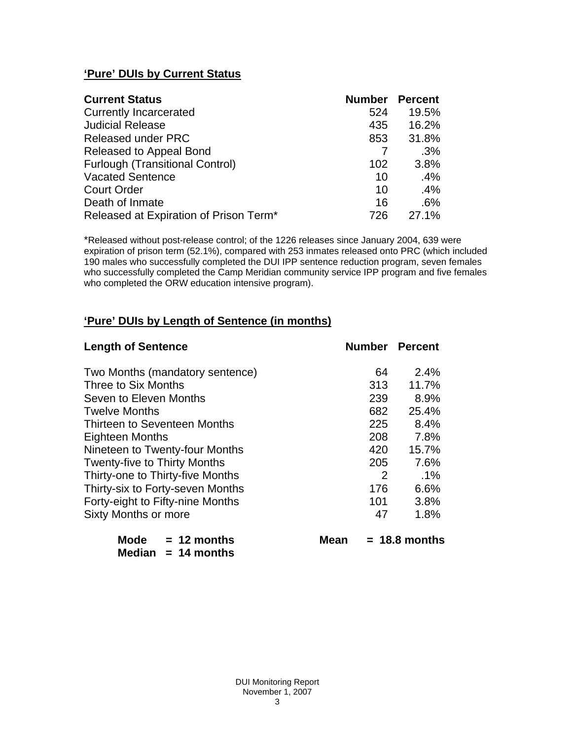# **'Pure' DUIs by Current Status**

| <b>Current Status</b>                  | <b>Number Percent</b> |       |
|----------------------------------------|-----------------------|-------|
| <b>Currently Incarcerated</b>          | 524                   | 19.5% |
| <b>Judicial Release</b>                | 435                   | 16.2% |
| <b>Released under PRC</b>              | 853                   | 31.8% |
| Released to Appeal Bond                |                       | .3%   |
| <b>Furlough (Transitional Control)</b> | 102                   | 3.8%  |
| <b>Vacated Sentence</b>                | 10                    | .4%   |
| <b>Court Order</b>                     | 10                    | .4%   |
| Death of Inmate                        | 16                    | .6%   |
| Released at Expiration of Prison Term* | 726                   | 27.1% |

\*Released without post-release control; of the 1226 releases since January 2004, 639 were expiration of prison term (52.1%), compared with 253 inmates released onto PRC (which included 190 males who successfully completed the DUI IPP sentence reduction program, seven females who successfully completed the Camp Meridian community service IPP program and five females who completed the ORW education intensive program).

# **'Pure' DUIs by Length of Sentence (in months)**

| <b>Length of Sentence</b>           | <b>Number Percent</b> |                 |
|-------------------------------------|-----------------------|-----------------|
| Two Months (mandatory sentence)     | 64                    | 2.4%            |
| Three to Six Months                 | 313                   | 11.7%           |
| Seven to Eleven Months              | 239                   | 8.9%            |
| <b>Twelve Months</b>                | 682                   | 25.4%           |
| Thirteen to Seventeen Months        | 225                   | 8.4%            |
| <b>Eighteen Months</b>              | 208                   | 7.8%            |
| Nineteen to Twenty-four Months      | 420                   | 15.7%           |
| <b>Twenty-five to Thirty Months</b> | 205                   | 7.6%            |
| Thirty-one to Thirty-five Months    | 2                     | $.1\%$          |
| Thirty-six to Forty-seven Months    | 176                   | 6.6%            |
| Forty-eight to Fifty-nine Months    | 101                   | 3.8%            |
| Sixty Months or more                | 47                    | 1.8%            |
| Mode<br>$= 12$ months<br>Mean       |                       | $= 18.8$ months |

 **Median = 14 months**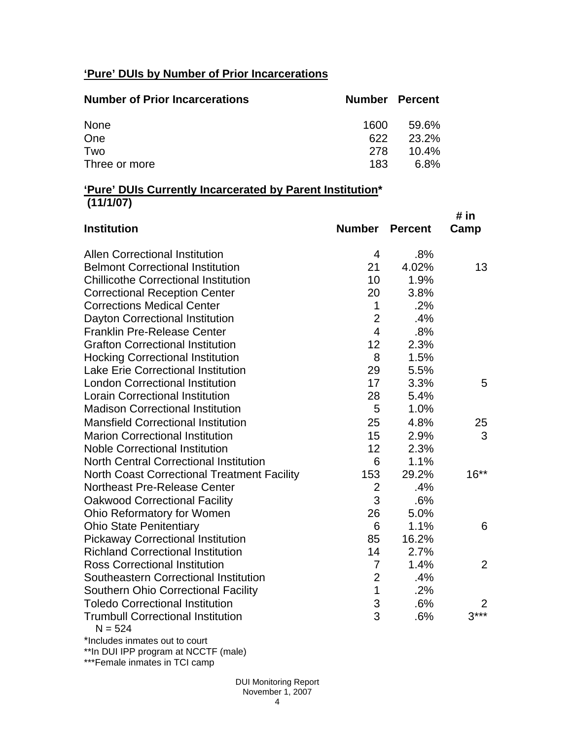# **'Pure' DUIs by Number of Prior Incarcerations**

| <b>Number of Prior Incarcerations</b> |      | <b>Number Percent</b> |
|---------------------------------------|------|-----------------------|
| None                                  | 1600 | 59.6%                 |
| One                                   | 622  | 23.2%                 |
| Two                                   | 278  | $10.4\%$              |
| Three or more                         | 183  | 6.8%                  |

#### **'Pure' DUIs Currently Incarcerated by Parent Institution\* (11/1/07)**

| <b>Institution</b>                                    | Number         | <b>Percent</b> | # in<br>Camp   |
|-------------------------------------------------------|----------------|----------------|----------------|
| <b>Allen Correctional Institution</b>                 | 4              | .8%            |                |
| <b>Belmont Correctional Institution</b>               | 21             | 4.02%          | 13             |
| <b>Chillicothe Correctional Institution</b>           | 10             | 1.9%           |                |
| <b>Correctional Reception Center</b>                  | 20             | 3.8%           |                |
| <b>Corrections Medical Center</b>                     | $\mathbf 1$    | .2%            |                |
| Dayton Correctional Institution                       | $\overline{2}$ | .4%            |                |
| <b>Franklin Pre-Release Center</b>                    | $\overline{4}$ | .8%            |                |
| <b>Grafton Correctional Institution</b>               | 12             | 2.3%           |                |
| <b>Hocking Correctional Institution</b>               | 8              | 1.5%           |                |
| <b>Lake Erie Correctional Institution</b>             | 29             | 5.5%           |                |
| <b>London Correctional Institution</b>                | 17             | 3.3%           | 5              |
| <b>Lorain Correctional Institution</b>                | 28             | 5.4%           |                |
| <b>Madison Correctional Institution</b>               | 5              | 1.0%           |                |
| <b>Mansfield Correctional Institution</b>             | 25             | 4.8%           | 25             |
| <b>Marion Correctional Institution</b>                | 15             | 2.9%           | 3              |
| <b>Noble Correctional Institution</b>                 | 12             | 2.3%           |                |
| <b>North Central Correctional Institution</b>         | 6              | 1.1%           |                |
| <b>North Coast Correctional Treatment Facility</b>    | 153            | 29.2%          | $16***$        |
| Northeast Pre-Release Center                          | $\overline{2}$ | .4%            |                |
| <b>Oakwood Correctional Facility</b>                  | 3              | .6%            |                |
| Ohio Reformatory for Women                            | 26             | 5.0%           |                |
| <b>Ohio State Penitentiary</b>                        | 6              | 1.1%           | 6              |
| <b>Pickaway Correctional Institution</b>              | 85             | 16.2%          |                |
| <b>Richland Correctional Institution</b>              | 14             | 2.7%           |                |
| <b>Ross Correctional Institution</b>                  | $\overline{7}$ | 1.4%           | $\overline{2}$ |
| Southeastern Correctional Institution                 | $\overline{2}$ | .4%            |                |
| <b>Southern Ohio Correctional Facility</b>            | $\mathbf 1$    | .2%            |                |
| <b>Toledo Correctional Institution</b>                | 3              | .6%            | 2              |
| <b>Trumbull Correctional Institution</b><br>$N = 524$ | 3              | .6%            | $3***$         |

\*Includes inmates out to court

\*\*In DUI IPP program at NCCTF (male)

\*\*\*Female inmates in TCI camp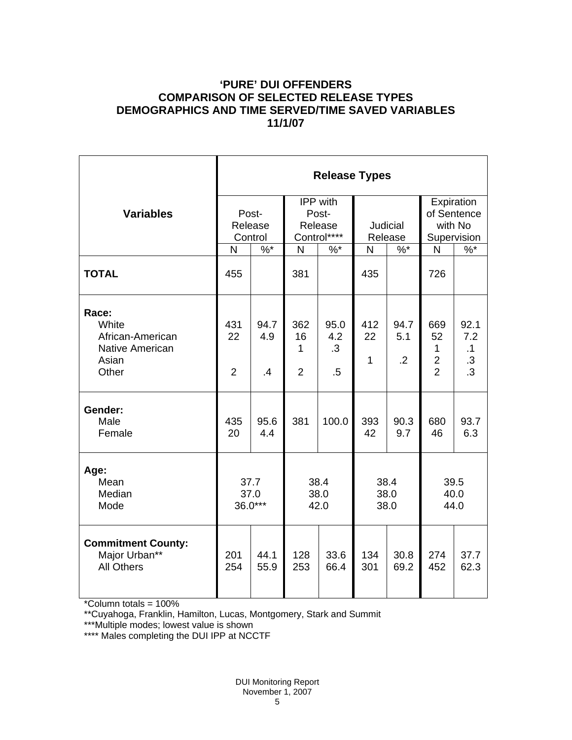# **'PURE' DUI OFFENDERS COMPARISON OF SELECTED RELEASE TYPES DEMOGRAPHICS AND TIME SERVED/TIME SAVED VARIABLES 11/1/07**

|                                                                                | <b>Release Types</b>        |                                |                                             |                                    |                           |                               |                                                               |                                             |  |  |
|--------------------------------------------------------------------------------|-----------------------------|--------------------------------|---------------------------------------------|------------------------------------|---------------------------|-------------------------------|---------------------------------------------------------------|---------------------------------------------|--|--|
| <b>Variables</b>                                                               | Post-<br>Release<br>Control |                                | IPP with<br>Post-<br>Release<br>Control**** |                                    | Judicial<br>Release       |                               | Expiration<br>of Sentence<br>with No<br>Supervision           |                                             |  |  |
|                                                                                | N                           | $%$ *                          | N                                           | $%$ *                              | N                         | $%$ *                         | N                                                             | $\%$ *                                      |  |  |
| <b>TOTAL</b>                                                                   | 455                         |                                | 381                                         |                                    | 435                       |                               | 726                                                           |                                             |  |  |
| Race:<br>White<br>African-American<br><b>Native American</b><br>Asian<br>Other | 431<br>22<br>$\overline{2}$ | 94.7<br>4.9<br>$\overline{.4}$ | 362<br>16<br>1<br>$\overline{2}$            | 95.0<br>4.2<br>$\cdot$ 3<br>$.5\,$ | 412<br>22<br>$\mathbf{1}$ | 94.7<br>5.1<br>$\overline{2}$ | 669<br>52<br>$\mathbf{1}$<br>$\overline{2}$<br>$\overline{2}$ | 92.1<br>7.2<br>.1<br>$\cdot$ 3<br>$\cdot$ 3 |  |  |
| Gender:<br>Male<br>Female                                                      | 435<br>20                   | 95.6<br>4.4                    | 381                                         | 100.0                              | 393<br>42                 | 90.3<br>9.7                   | 680<br>46                                                     | 93.7<br>6.3                                 |  |  |
| Age:<br>Mean<br>Median<br>Mode                                                 | 37.7<br>37.0<br>$36.0***$   |                                | 38.4<br>38.0<br>42.0                        |                                    | 38.4<br>38.0<br>38.0      |                               | 39.5<br>40.0<br>44.0                                          |                                             |  |  |
| <b>Commitment County:</b><br>Major Urban**<br><b>All Others</b>                | 201<br>254                  | 44.1<br>55.9                   | 128<br>253                                  | 33.6<br>66.4                       | 134<br>301                | 30.8<br>69.2                  | 274<br>452                                                    | 37.7<br>62.3                                |  |  |

\*Column totals = 100%

\*\*Cuyahoga, Franklin, Hamilton, Lucas, Montgomery, Stark and Summit

\*\*\*Multiple modes; lowest value is shown

\*\*\*\* Males completing the DUI IPP at NCCTF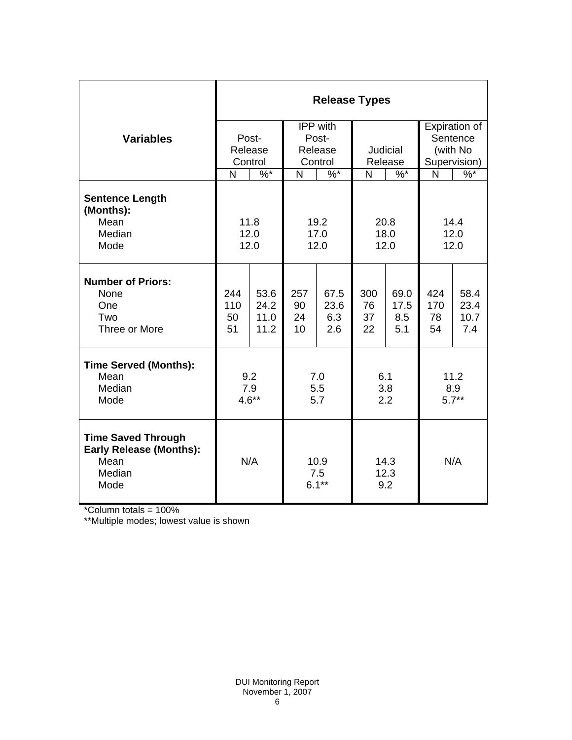|                                                                                               | <b>Release Types</b>        |                              |                                         |                            |                       |                            |                                                       |                             |  |  |
|-----------------------------------------------------------------------------------------------|-----------------------------|------------------------------|-----------------------------------------|----------------------------|-----------------------|----------------------------|-------------------------------------------------------|-----------------------------|--|--|
| <b>Variables</b>                                                                              | Post-<br>Release<br>Control |                              | IPP with<br>Post-<br>Release<br>Control |                            | Judicial<br>Release   |                            | Expiration of<br>Sentence<br>(with No<br>Supervision) |                             |  |  |
|                                                                                               | N<br>$\%$ *                 |                              | $\sqrt[6]{6}$<br>N                      |                            | N<br>$\%$ *           |                            | N                                                     | $\frac{9}{6}$               |  |  |
| <b>Sentence Length</b><br>(Months):<br>Mean<br>Median<br>Mode                                 |                             | 11.8<br>12.0<br>12.0         | 19.2<br>17.0<br>12.0                    |                            | 20.8<br>18.0<br>12.0  |                            | 14.4<br>12.0<br>12.0                                  |                             |  |  |
| <b>Number of Priors:</b><br>None<br>One<br>Two<br>Three or More                               | 244<br>110<br>50<br>51      | 53.6<br>24.2<br>11.0<br>11.2 | 257<br>90<br>24<br>10                   | 67.5<br>23.6<br>6.3<br>2.6 | 300<br>76<br>37<br>22 | 69.0<br>17.5<br>8.5<br>5.1 | 424<br>170<br>78<br>54                                | 58.4<br>23.4<br>10.7<br>7.4 |  |  |
| <b>Time Served (Months):</b><br>Mean<br>Median<br>Mode                                        | 9.2<br>7.9<br>$4.6**$       |                              | 7.0<br>5.5<br>5.7                       |                            | 6.1<br>3.8<br>2.2     |                            | 11.2<br>8.9<br>$5.7**$                                |                             |  |  |
| <b>Time Saved Through</b><br><b>Early Release (Months):</b><br>Mean<br>Median<br>Mode<br>1000 | N/A                         |                              | 10.9<br>7.5<br>$6.1***$                 |                            | 14.3<br>12.3<br>9.2   |                            | N/A                                                   |                             |  |  |

\*Column totals = 100%

\*\*Multiple modes; lowest value is shown